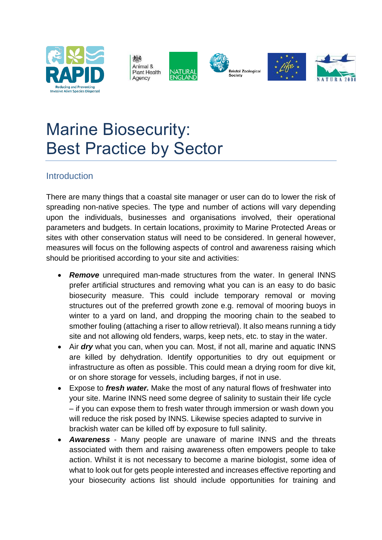





**Bristol Zoological** 





# Marine Biosecurity: Best Practice by Sector

# Introduction

There are many things that a coastal site manager or user can do to lower the risk of spreading non-native species. The type and number of actions will vary depending upon the individuals, businesses and organisations involved, their operational parameters and budgets. In certain locations, proximity to Marine Protected Areas or sites with other conservation status will need to be considered. In general however, measures will focus on the following aspects of control and awareness raising which should be prioritised according to your site and activities:

- *Remove* unrequired man-made structures from the water. In general INNS prefer artificial structures and removing what you can is an easy to do basic biosecurity measure. This could include temporary removal or moving structures out of the preferred growth zone e.g. removal of mooring buoys in winter to a yard on land, and dropping the mooring chain to the seabed to smother fouling (attaching a riser to allow retrieval). It also means running a tidy site and not allowing old fenders, warps, keep nets, etc. to stay in the water.
- Air *dry* what you can, when you can. Most, if not all, marine and aquatic INNS are killed by dehydration. Identify opportunities to dry out equipment or infrastructure as often as possible. This could mean a drying room for dive kit, or on shore storage for vessels, including barges, if not in use.
- Expose to *fresh water.* Make the most of any natural flows of freshwater into your site. Marine INNS need some degree of salinity to sustain their life cycle – if you can expose them to fresh water through immersion or wash down you will reduce the risk posed by INNS. Likewise species adapted to survive in brackish water can be killed off by exposure to full salinity.
- *Awareness* Many people are unaware of marine INNS and the threats associated with them and raising awareness often empowers people to take action. Whilst it is not necessary to become a marine biologist, some idea of what to look out for gets people interested and increases effective reporting and your biosecurity actions list should include opportunities for training and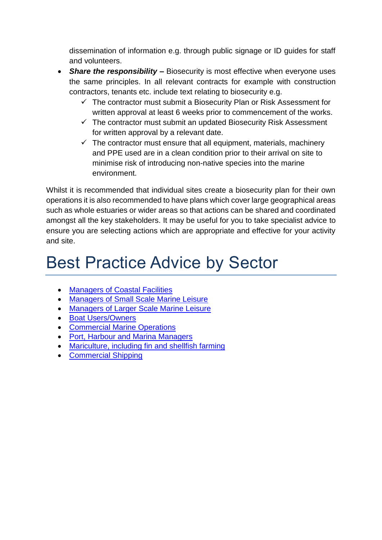dissemination of information e.g. through public signage or ID guides for staff and volunteers.

- *Share the responsibility –* Biosecurity is most effective when everyone uses the same principles. In all relevant contracts for example with construction contractors, tenants etc. include text relating to biosecurity e.g.
	- $\checkmark$  The contractor must submit a Biosecurity Plan or Risk Assessment for written approval at least 6 weeks prior to commencement of the works.
	- $\checkmark$  The contractor must submit an updated Biosecurity Risk Assessment for written approval by a relevant date.
	- $\checkmark$  The contractor must ensure that all equipment, materials, machinery and PPE used are in a clean condition prior to their arrival on site to minimise risk of introducing non-native species into the marine environment.

Whilst it is recommended that individual sites create a biosecurity plan for their own operations it is also recommended to have plans which cover large geographical areas such as whole estuaries or wider areas so that actions can be shared and coordinated amongst all the key stakeholders. It may be useful for you to take specialist advice to ensure you are selecting actions which are appropriate and effective for your activity and site.

# Best Practice Advice by Sector

- [Managers of Coastal Facilities](#page-2-0)
- [Managers of Small Scale Marine Leisure](#page-2-1)
- [Managers of Larger Scale Marine Leisure](#page-3-0)
- **[Boat Users/Owners](#page-5-0)**
- [Commercial Marine Operations](#page-6-0)
- Port, [Harbour and Marina Managers](#page-7-0)
- Mariculture, [including fin and shellfish farming](#page-8-0)
- [Commercial Shipping](#page-9-0)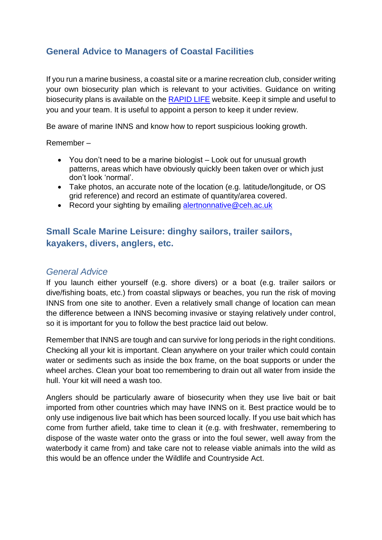# <span id="page-2-0"></span>**General Advice to Managers of Coastal Facilities**

If you run a marine business, a coastal site or a marine recreation club, consider writing your own biosecurity plan which is relevant to your activities. Guidance on writing biosecurity plans is available on the [RAPID LIFE](http://www.nonnativespecies.org/index.cfm?sectionid=139) website. Keep it simple and useful to you and your team. It is useful to appoint a person to keep it under review.

Be aware of marine INNS and know how to report suspicious looking growth.

Remember –

- You don't need to be a marine biologist Look out for unusual growth patterns, areas which have obviously quickly been taken over or which just don't look 'normal'.
- Take photos, an accurate note of the location (e.g. latitude/longitude, or OS grid reference) and record an estimate of quantity/area covered.
- Record your sighting by emailing [alertnonnative@ceh.ac.uk](mailto:alertnonnative@ceh.ac.uk)

## <span id="page-2-1"></span>**Small Scale Marine Leisure: dinghy sailors, trailer sailors, kayakers, divers, anglers, etc.**

#### *General Advice*

If you launch either yourself (e.g. shore divers) or a boat (e.g. trailer sailors or dive/fishing boats, etc.) from coastal slipways or beaches, you run the risk of moving INNS from one site to another. Even a relatively small change of location can mean the difference between a INNS becoming invasive or staying relatively under control, so it is important for you to follow the best practice laid out below.

Remember that INNS are tough and can survive for long periods in the right conditions. Checking all your kit is important. Clean anywhere on your trailer which could contain water or sediments such as inside the box frame, on the boat supports or under the wheel arches. Clean your boat too remembering to drain out all water from inside the hull. Your kit will need a wash too.

Anglers should be particularly aware of biosecurity when they use live bait or bait imported from other countries which may have INNS on it. Best practice would be to only use indigenous live bait which has been sourced locally. If you use bait which has come from further afield, take time to clean it (e.g. with freshwater, remembering to dispose of the waste water onto the grass or into the foul sewer, well away from the waterbody it came from) and take care not to release viable animals into the wild as this would be an offence under the Wildlife and Countryside Act.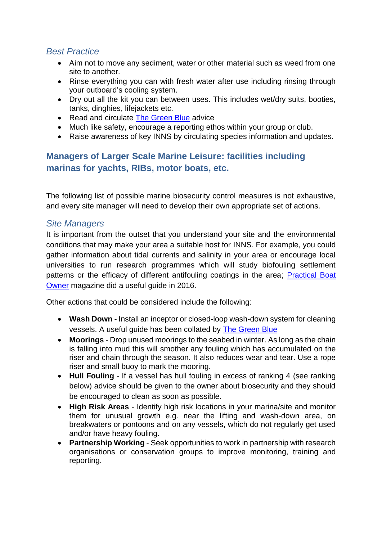#### *Best Practice*

- Aim not to move any sediment, water or other material such as weed from one site to another.
- Rinse everything you can with fresh water after use including rinsing through your outboard's cooling system.
- Dry out all the kit you can between uses. This includes wet/dry suits, booties, tanks, dinghies, lifejackets etc.
- Read and circulate [The Green Blue](https://www.thegreenblue.org.uk/Boat-Users/Antifoul-and-Invasive-Species) advice
- Much like safety, encourage a reporting ethos within your group or club.
- Raise awareness of key INNS by circulating species information and updates.

# <span id="page-3-0"></span>**Managers of Larger Scale Marine Leisure: facilities including marinas for yachts, RIBs, motor boats, etc.**

The following list of possible marine biosecurity control measures is not exhaustive, and every site manager will need to develop their own appropriate set of actions.

#### *Site Managers*

It is important from the outset that you understand your site and the environmental conditions that may make your area a suitable host for INNS. For example, you could gather information about tidal currents and salinity in your area or encourage local universities to run research programmes which will study biofouling settlement patterns or the efficacy of different antifouling coatings in the area; **Practical Boat** [Owner](http://www.pbo.co.uk/gear/pbo-great-uk-antifouling-showdown-26053) magazine did a useful guide in 2016.

Other actions that could be considered include the following:

- **Wash Down** Install an inceptor or closed-loop wash-down system for cleaning vessels. A useful guide has been collated by [The Green Blue](https://www.thegreenblue.org.uk/Guides-Posters-and-Activities/Guides-for-Clubs-Training-Centres-and-Boating-Businesses)
- **Moorings** Drop unused moorings to the seabed in winter. As long as the chain is falling into mud this will smother any fouling which has accumulated on the riser and chain through the season. It also reduces wear and tear. Use a rope riser and small buoy to mark the mooring.
- **Hull Fouling** If a vessel has hull fouling in excess of ranking 4 (see ranking below) advice should be given to the owner about biosecurity and they should be encouraged to clean as soon as possible.
- **High Risk Areas** Identify high risk locations in your marina/site and monitor them for unusual growth e.g. near the lifting and wash-down area, on breakwaters or pontoons and on any vessels, which do not regularly get used and/or have heavy fouling.
- **Partnership Working** Seek opportunities to work in partnership with research organisations or conservation groups to improve monitoring, training and reporting.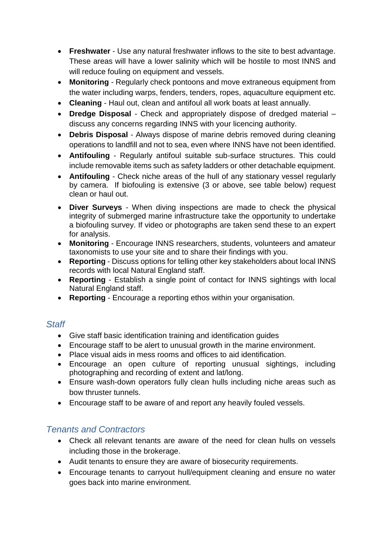- **Freshwater** Use any natural freshwater inflows to the site to best advantage. These areas will have a lower salinity which will be hostile to most INNS and will reduce fouling on equipment and vessels.
- **Monitoring** Regularly check pontoons and move extraneous equipment from the water including warps, fenders, tenders, ropes, aquaculture equipment etc.
- **Cleaning** Haul out, clean and antifoul all work boats at least annually.
- **Dredge Disposal** Check and appropriately dispose of dredged material discuss any concerns regarding INNS with your licencing authority.
- **Debris Disposal** Always dispose of marine debris removed during cleaning operations to landfill and not to sea, even where INNS have not been identified.
- **Antifouling** Regularly antifoul suitable sub-surface structures. This could include removable items such as safety ladders or other detachable equipment.
- **Antifouling** Check niche areas of the hull of any stationary vessel regularly by camera. If biofouling is extensive (3 or above, see table below) request clean or haul out.
- **Diver Surveys** When diving inspections are made to check the physical integrity of submerged marine infrastructure take the opportunity to undertake a biofouling survey. If video or photographs are taken send these to an expert for analysis.
- **Monitoring** Encourage INNS researchers, students, volunteers and amateur taxonomists to use your site and to share their findings with you.
- **Reporting** Discuss options for telling other key stakeholders about local INNS records with local Natural England staff.
- **Reporting** Establish a single point of contact for INNS sightings with local Natural England staff.
- **Reporting** Encourage a reporting ethos within your organisation.

# *Staff*

- Give staff basic identification training and identification guides
- Encourage staff to be alert to unusual growth in the marine environment.
- Place visual aids in mess rooms and offices to aid identification.
- Encourage an open culture of reporting unusual sightings, including photographing and recording of extent and lat/long.
- Ensure wash-down operators fully clean hulls including niche areas such as bow thruster tunnels.
- Encourage staff to be aware of and report any heavily fouled vessels.

# *Tenants and Contractors*

- Check all relevant tenants are aware of the need for clean hulls on vessels including those in the brokerage.
- Audit tenants to ensure they are aware of biosecurity requirements.
- Encourage tenants to carryout hull/equipment cleaning and ensure no water goes back into marine environment.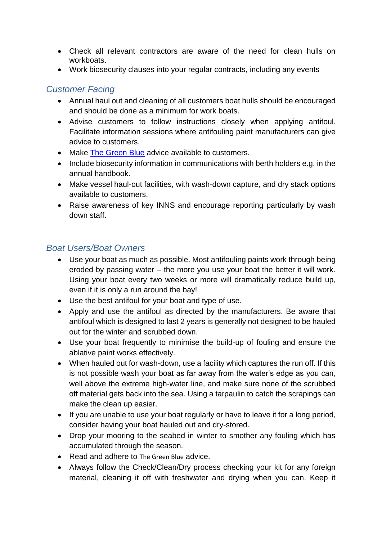- Check all relevant contractors are aware of the need for clean hulls on workboats.
- Work biosecurity clauses into your regular contracts, including any events

#### *Customer Facing*

- Annual haul out and cleaning of all customers boat hulls should be encouraged and should be done as a minimum for work boats.
- Advise customers to follow instructions closely when applying antifoul. Facilitate information sessions where antifouling paint manufacturers can give advice to customers.
- Make [The Green Blue](https://www.thegreenblue.org.uk/Boat-Users/Antifoul-and-Invasive-Species) advice available to customers.
- Include biosecurity information in communications with berth holders e.g. in the annual handbook.
- Make vessel haul-out facilities, with wash-down capture, and dry stack options available to customers.
- Raise awareness of key INNS and encourage reporting particularly by wash down staff.

# <span id="page-5-0"></span>*Boat Users/Boat Owners*

- Use your boat as much as possible. Most antifouling paints work through being eroded by passing water – the more you use your boat the better it will work. Using your boat every two weeks or more will dramatically reduce build up, even if it is only a run around the bay!
- Use the best antifoul for your boat and type of use.
- Apply and use the antifoul as directed by the manufacturers. Be aware that antifoul which is designed to last 2 years is generally not designed to be hauled out for the winter and scrubbed down.
- Use your boat frequently to minimise the build-up of fouling and ensure the ablative paint works effectively.
- When hauled out for wash-down, use a facility which captures the run off. If this is not possible wash your boat as far away from the water's edge as you can, well above the extreme high-water line, and make sure none of the scrubbed off material gets back into the sea. Using a tarpaulin to catch the scrapings can make the clean up easier.
- If you are unable to use your boat regularly or have to leave it for a long period, consider having your boat hauled out and dry-stored.
- Drop your mooring to the seabed in winter to smother any fouling which has accumulated through the season.
- Read and adhere to [The Green Blue](https://www.thegreenblue.org.uk/Boat-Users/Antifoul-and-Invasive-Species) advice.
- Always follow the Check/Clean/Dry process checking your kit for any foreign material, cleaning it off with freshwater and drying when you can. Keep it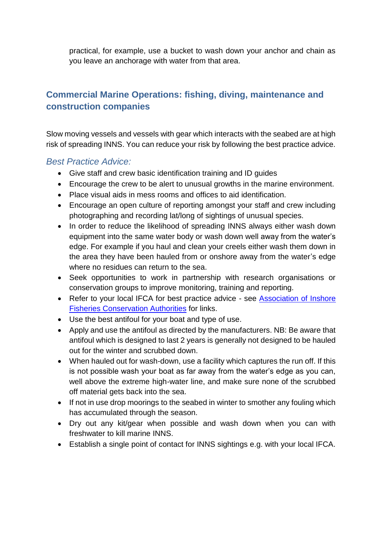practical, for example, use a bucket to wash down your anchor and chain as you leave an anchorage with water from that area.

# <span id="page-6-0"></span>**Commercial Marine Operations: fishing, diving, maintenance and construction companies**

Slow moving vessels and vessels with gear which interacts with the seabed are at high risk of spreading INNS. You can reduce your risk by following the best practice advice.

#### *Best Practice Advice:*

- Give staff and crew basic identification training and ID guides
- Encourage the crew to be alert to unusual growths in the marine environment.
- Place visual aids in mess rooms and offices to aid identification.
- Encourage an open culture of reporting amongst your staff and crew including photographing and recording lat/long of sightings of unusual species.
- In order to reduce the likelihood of spreading INNS always either wash down equipment into the same water body or wash down well away from the water's edge. For example if you haul and clean your creels either wash them down in the area they have been hauled from or onshore away from the water's edge where no residues can return to the sea.
- Seek opportunities to work in partnership with research organisations or conservation groups to improve monitoring, training and reporting.
- Refer to your local IFCA for best practice advice see Association of Inshore [Fisheries Conservation Authorities](http://www.association-ifca.org.uk/) for links.
- Use the best antifoul for your boat and type of use.
- Apply and use the antifoul as directed by the manufacturers. NB: Be aware that antifoul which is designed to last 2 years is generally not designed to be hauled out for the winter and scrubbed down.
- When hauled out for wash-down, use a facility which captures the run off. If this is not possible wash your boat as far away from the water's edge as you can, well above the extreme high-water line, and make sure none of the scrubbed off material gets back into the sea.
- If not in use drop moorings to the seabed in winter to smother any fouling which has accumulated through the season.
- Dry out any kit/gear when possible and wash down when you can with freshwater to kill marine INNS.
- Establish a single point of contact for INNS sightings e.g. with your local IFCA.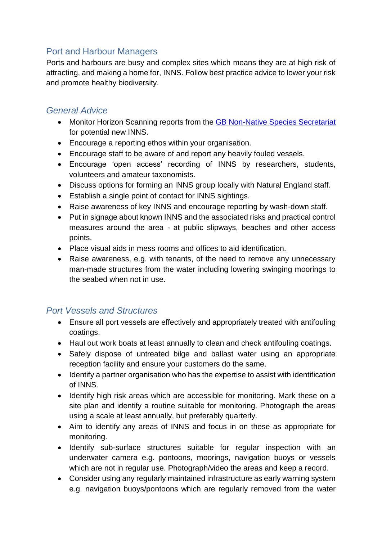### <span id="page-7-0"></span>Port and Harbour Managers

Ports and harbours are busy and complex sites which means they are at high risk of attracting, and making a home for, INNS. Follow best practice advice to lower your risk and promote healthy biodiversity.

#### *General Advice*

- Monitor Horizon Scanning reports from the [GB Non-Native Species Secretariat](http://www.nonnativespecies.org/alerts/index.cfm) for potential new INNS.
- Encourage a reporting ethos within your organisation.
- Encourage staff to be aware of and report any heavily fouled vessels.
- Encourage 'open access' recording of INNS by researchers, students, volunteers and amateur taxonomists.
- Discuss options for forming an INNS group locally with Natural England staff.
- Establish a single point of contact for INNS sightings.
- Raise awareness of key INNS and encourage reporting by wash-down staff.
- Put in signage about known INNS and the associated risks and practical control measures around the area - at public slipways, beaches and other access points.
- Place visual aids in mess rooms and offices to aid identification.
- Raise awareness, e.g. with tenants, of the need to remove any unnecessary man-made structures from the water including lowering swinging moorings to the seabed when not in use.

### *Port Vessels and Structures*

- Ensure all port vessels are effectively and appropriately treated with antifouling coatings.
- Haul out work boats at least annually to clean and check antifouling coatings.
- Safely dispose of untreated bilge and ballast water using an appropriate reception facility and ensure your customers do the same.
- Identify a partner organisation who has the expertise to assist with identification of INNS.
- Identify high risk areas which are accessible for monitoring. Mark these on a site plan and identify a routine suitable for monitoring. Photograph the areas using a scale at least annually, but preferably quarterly.
- Aim to identify any areas of INNS and focus in on these as appropriate for monitoring.
- Identify sub-surface structures suitable for regular inspection with an underwater camera e.g. pontoons, moorings, navigation buoys or vessels which are not in regular use. Photograph/video the areas and keep a record.
- Consider using any regularly maintained infrastructure as early warning system e.g. navigation buoys/pontoons which are regularly removed from the water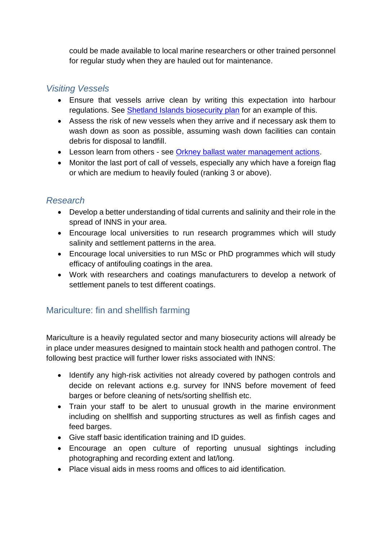could be made available to local marine researchers or other trained personnel for regular study when they are hauled out for maintenance.

#### *Visiting Vessels*

- Ensure that vessels arrive clean by writing this expectation into harbour regulations. See [Shetland Islands biosecurity plan](https://www.nafc.uhi.ac.uk/t4-media/one-web/nafc/research/document/marine-spatial-planning/biosecurity-plan.pdf) for an example of this.
- Assess the risk of new vessels when they arrive and if necessary ask them to wash down as soon as possible, assuming wash down facilities can contain debris for disposal to landfill.
- Lesson learn from others see [Orkney ballast water management actions.](http://www.orkneyharbours.com/pdfs/bwm/Ballast%20Water%20Management%20Policy%20for%20Scapa%20Flow%2010%20December%202013.pdf)
- Monitor the last port of call of vessels, especially any which have a foreign flag or which are medium to heavily fouled (ranking 3 or above).

### *Research*

- Develop a better understanding of tidal currents and salinity and their role in the spread of INNS in your area.
- Encourage local universities to run research programmes which will study salinity and settlement patterns in the area.
- Encourage local universities to run MSc or PhD programmes which will study efficacy of antifouling coatings in the area.
- Work with researchers and coatings manufacturers to develop a network of settlement panels to test different coatings.

# <span id="page-8-0"></span>Mariculture: fin and shellfish farming

Mariculture is a heavily regulated sector and many biosecurity actions will already be in place under measures designed to maintain stock health and pathogen control. The following best practice will further lower risks associated with INNS:

- Identify any high-risk activities not already covered by pathogen controls and decide on relevant actions e.g. survey for INNS before movement of feed barges or before cleaning of nets/sorting shellfish etc.
- Train your staff to be alert to unusual growth in the marine environment including on shellfish and supporting structures as well as finfish cages and feed barges.
- Give staff basic identification training and ID guides.
- Encourage an open culture of reporting unusual sightings including photographing and recording extent and lat/long.
- Place visual aids in mess rooms and offices to aid identification.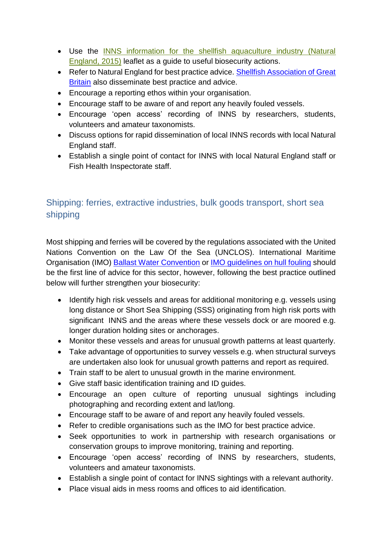- Use the INNS [information for the shellfish aquaculture industry \(Natural](https://secure.fera.defra.gov.uk/nonnativespecies/downloadDocument.cfm?id=1392)  [England, 2015\)](https://secure.fera.defra.gov.uk/nonnativespecies/downloadDocument.cfm?id=1392) leaflet as a guide to useful biosecurity actions.
- Refer to Natural England for best practice advice. Shellfish Association of Great [Britain](http://www.shellfish.org.uk/) also disseminate best practice and advice.
- Encourage a reporting ethos within your organisation.
- Encourage staff to be aware of and report any heavily fouled vessels.
- Encourage 'open access' recording of INNS by researchers, students, volunteers and amateur taxonomists.
- Discuss options for rapid dissemination of local INNS records with local Natural England staff.
- Establish a single point of contact for INNS with local Natural England staff or Fish Health Inspectorate staff.

# <span id="page-9-0"></span>Shipping: ferries, extractive industries, bulk goods transport, short sea shipping

Most shipping and ferries will be covered by the regulations associated with the United Nations Convention on the Law Of the Sea (UNCLOS). International Maritime Organisation (IMO) [Ballast Water Convention](http://www.imo.org/en/About/Conventions/ListOfConventions/Pages/International-Convention-for-the-Control-and-Management-of-Ships) or [IMO guidelines on hull fouling](http://www.imo.org/en/OurWork/Environment/Biofouling/Pages/default.aspx) should be the first line of advice for this sector, however, following the best practice outlined below will further strengthen your biosecurity:

- Identify high risk vessels and areas for additional monitoring e.g. vessels using long distance or Short Sea Shipping (SSS) originating from high risk ports with significant INNS and the areas where these vessels dock or are moored e.g. longer duration holding sites or anchorages.
- Monitor these vessels and areas for unusual growth patterns at least quarterly.
- Take advantage of opportunities to survey vessels e.g. when structural surveys are undertaken also look for unusual growth patterns and report as required.
- Train staff to be alert to unusual growth in the marine environment.
- Give staff basic identification training and ID guides.
- Encourage an open culture of reporting unusual sightings including photographing and recording extent and lat/long.
- Encourage staff to be aware of and report any heavily fouled vessels.
- Refer to credible organisations such as the IMO for best practice advice.
- Seek opportunities to work in partnership with research organisations or conservation groups to improve monitoring, training and reporting.
- Encourage 'open access' recording of INNS by researchers, students, volunteers and amateur taxonomists.
- Establish a single point of contact for INNS sightings with a relevant authority.
- Place visual aids in mess rooms and offices to aid identification.